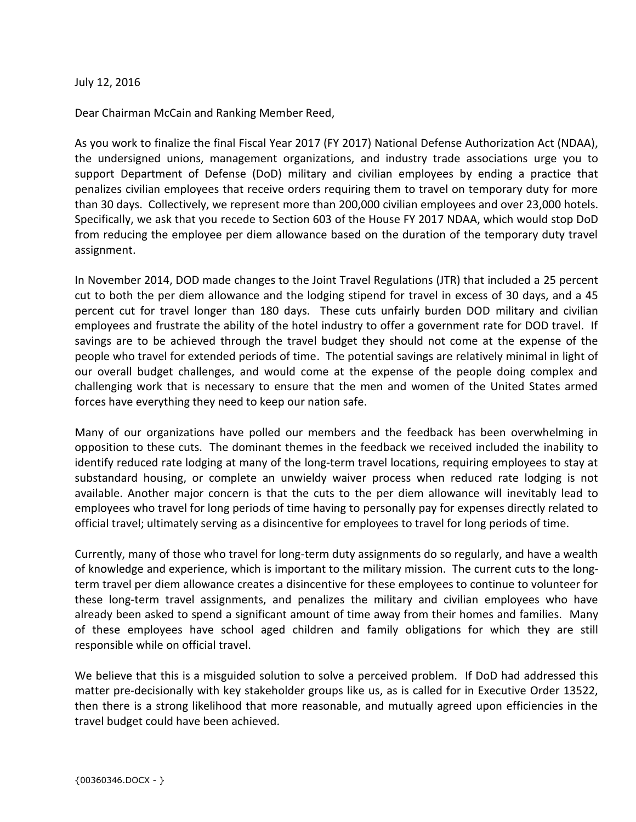July 12, 2016

Dear Chairman McCain and Ranking Member Reed,

As you work to finalize the final Fiscal Year 2017 (FY 2017) National Defense Authorization Act (NDAA), the undersigned unions, management organizations, and industry trade associations urge you to support Department of Defense (DoD) military and civilian employees by ending a practice that penalizes civilian employees that receive orders requiring them to travel on temporary duty for more than 30 days. Collectively, we represent more than 200,000 civilian employees and over 23,000 hotels. Specifically, we ask that you recede to Section 603 of the House FY 2017 NDAA, which would stop DoD from reducing the employee per diem allowance based on the duration of the temporary duty travel assignment.

In November 2014, DOD made changes to the Joint Travel Regulations (JTR) that included a 25 percent cut to both the per diem allowance and the lodging stipend for travel in excess of 30 days, and a 45 percent cut for travel longer than 180 days. These cuts unfairly burden DOD military and civilian employees and frustrate the ability of the hotel industry to offer a government rate for DOD travel. If savings are to be achieved through the travel budget they should not come at the expense of the people who travel for extended periods of time. The potential savings are relatively minimal in light of our overall budget challenges, and would come at the expense of the people doing complex and challenging work that is necessary to ensure that the men and women of the United States armed forces have everything they need to keep our nation safe.

Many of our organizations have polled our members and the feedback has been overwhelming in opposition to these cuts. The dominant themes in the feedback we received included the inability to identify reduced rate lodging at many of the long-term travel locations, requiring employees to stay at substandard housing, or complete an unwieldy waiver process when reduced rate lodging is not available. Another major concern is that the cuts to the per diem allowance will inevitably lead to employees who travel for long periods of time having to personally pay for expenses directly related to official travel; ultimately serving as a disincentive for employees to travel for long periods of time.

Currently, many of those who travel for long-term duty assignments do so regularly, and have a wealth of knowledge and experience, which is important to the military mission. The current cuts to the longterm travel per diem allowance creates a disincentive for these employees to continue to volunteer for these long-term travel assignments, and penalizes the military and civilian employees who have already been asked to spend a significant amount of time away from their homes and families. Many of these employees have school aged children and family obligations for which they are still responsible while on official travel.

We believe that this is a misguided solution to solve a perceived problem. If DoD had addressed this matter pre-decisionally with key stakeholder groups like us, as is called for in Executive Order 13522, then there is a strong likelihood that more reasonable, and mutually agreed upon efficiencies in the travel budget could have been achieved.